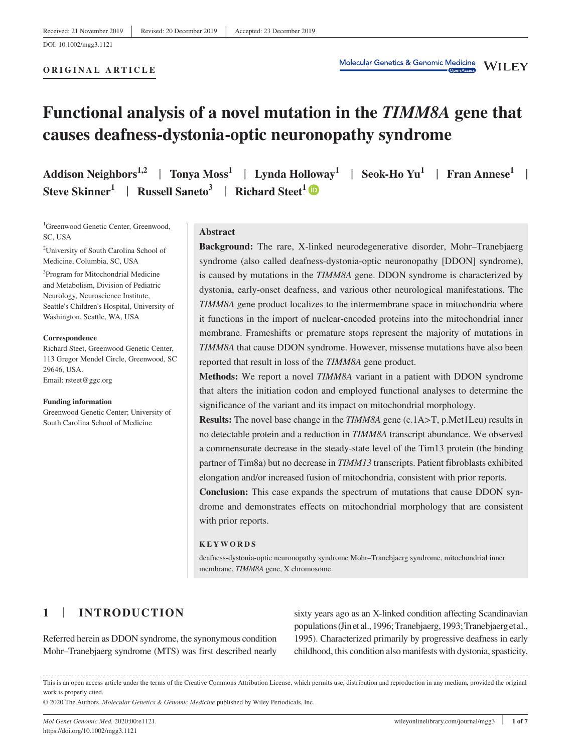# **Functional analysis of a novel mutation in the** *TIMM8A* **gene that causes deafness-dystonia-optic neuronopathy syndrome**

| Addison Neighbors <sup>1,2</sup>   Tonya Moss <sup>1</sup>   Lynda Holloway <sup>1</sup>   Seok-Ho Yu <sup>1</sup>   Fran Annese <sup>1</sup> |  |  |
|-----------------------------------------------------------------------------------------------------------------------------------------------|--|--|
| Steve Skinner <sup>1</sup>   Russell Saneto <sup>3</sup>   Richard Steet <sup>1</sup>                                                         |  |  |

<sup>1</sup>Greenwood Genetic Center, Greenwood, SC, USA

2 University of South Carolina School of Medicine, Columbia, SC, USA

<sup>3</sup>Program for Mitochondrial Medicine and Metabolism, Division of Pediatric Neurology, Neuroscience Institute, Seattle's Children's Hospital, University of Washington, Seattle, WA, USA

#### **Correspondence**

Richard Steet, Greenwood Genetic Center, 113 Gregor Mendel Circle, Greenwood, SC 29646, USA. Email: [rsteet@ggc.org](mailto:rsteet@ggc.org)

#### **Funding information**

Greenwood Genetic Center; University of South Carolina School of Medicine

#### **Abstract**

**Background:** The rare, X-linked neurodegenerative disorder, Mohr–Tranebjaerg syndrome (also called deafness-dystonia-optic neuronopathy [DDON] syndrome), is caused by mutations in the *TIMM8A* gene. DDON syndrome is characterized by dystonia, early-onset deafness, and various other neurological manifestations. The *TIMM8A* gene product localizes to the intermembrane space in mitochondria where it functions in the import of nuclear-encoded proteins into the mitochondrial inner membrane. Frameshifts or premature stops represent the majority of mutations in *TIMM8A* that cause DDON syndrome. However, missense mutations have also been reported that result in loss of the *TIMM8A* gene product.

**Methods:** We report a novel *TIMM8A* variant in a patient with DDON syndrome that alters the initiation codon and employed functional analyses to determine the significance of the variant and its impact on mitochondrial morphology.

**Results:** The novel base change in the *TIMM8A* gene (c.1A>T, p.Met1Leu) results in no detectable protein and a reduction in *TIMM8A* transcript abundance. We observed a commensurate decrease in the steady-state level of the Tim13 protein (the binding partner of Tim8a) but no decrease in *TIMM13* transcripts. Patient fibroblasts exhibited elongation and/or increased fusion of mitochondria, consistent with prior reports.

**Conclusion:** This case expands the spectrum of mutations that cause DDON syndrome and demonstrates effects on mitochondrial morphology that are consistent with prior reports.

#### **KEYWORDS**

deafness-dystonia-optic neuronopathy syndrome Mohr–Tranebjaerg syndrome, mitochondrial inner membrane, *TIMM8A* gene, X chromosome

# **1** | **INTRODUCTION**

Referred herein as DDON syndrome, the synonymous condition Mohr–Tranebjaerg syndrome (MTS) was first described nearly

sixty years ago as an X-linked condition affecting Scandinavian populations (Jin et al., 1996; Tranebjaerg, 1993; Tranebjaerg et al., 1995). Characterized primarily by progressive deafness in early childhood, this condition also manifests with dystonia, spasticity,

This is an open access article under the terms of the [Creative Commons Attribution](http://creativecommons.org/licenses/by/4.0/) License, which permits use, distribution and reproduction in any medium, provided the original work is properly cited.

© 2020 The Authors. *Molecular Genetics & Genomic Medicine* published by Wiley Periodicals, Inc.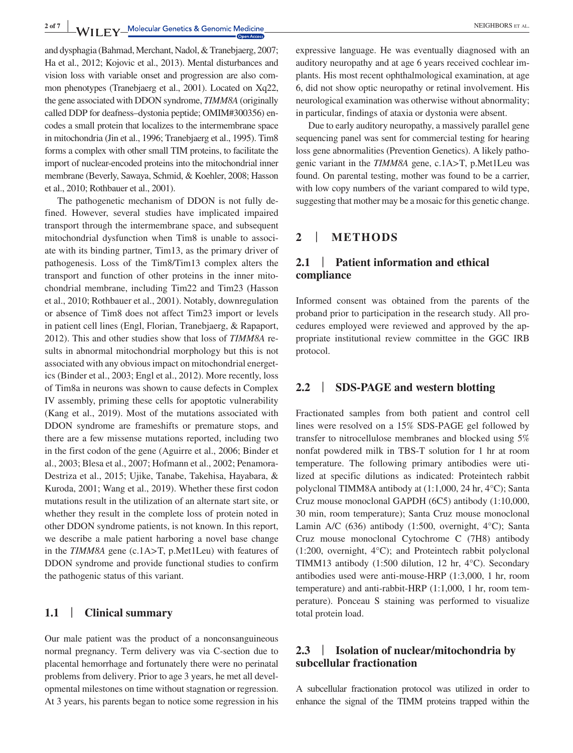2 of 7 **W**<sub>II</sub> **EV** Molecular Genetics & Genomic Medicine **All and Service Contract Contract Contract Contract Contract Contract Contract Contract Contract Contract Contract Contract Contract Contract Contract Contract Con** 

and dysphagia (Bahmad, Merchant, Nadol, & Tranebjaerg, 2007; Ha et al., 2012; Kojovic et al., 2013). Mental disturbances and vision loss with variable onset and progression are also common phenotypes (Tranebjaerg et al., 2001). Located on Xq22, the gene associated with DDON syndrome, *TIMM8A* (originally called DDP for deafness–dystonia peptide; OMIM#300356) encodes a small protein that localizes to the intermembrane space in mitochondria (Jin et al., 1996; Tranebjaerg et al., 1995). Tim8 forms a complex with other small TIM proteins, to facilitate the import of nuclear-encoded proteins into the mitochondrial inner membrane (Beverly, Sawaya, Schmid, & Koehler, 2008; Hasson et al., 2010; Rothbauer et al., 2001).

The pathogenetic mechanism of DDON is not fully defined. However, several studies have implicated impaired transport through the intermembrane space, and subsequent mitochondrial dysfunction when Tim8 is unable to associate with its binding partner, Tim13, as the primary driver of pathogenesis. Loss of the Tim8/Tim13 complex alters the transport and function of other proteins in the inner mitochondrial membrane, including Tim22 and Tim23 (Hasson et al., 2010; Rothbauer et al., 2001). Notably, downregulation or absence of Tim8 does not affect Tim23 import or levels in patient cell lines (Engl, Florian, Tranebjaerg, & Rapaport, 2012). This and other studies show that loss of *TIMM8A* results in abnormal mitochondrial morphology but this is not associated with any obvious impact on mitochondrial energetics (Binder et al., 2003; Engl et al., 2012). More recently, loss of Tim8a in neurons was shown to cause defects in Complex IV assembly, priming these cells for apoptotic vulnerability (Kang et al., 2019). Most of the mutations associated with DDON syndrome are frameshifts or premature stops, and there are a few missense mutations reported, including two in the first codon of the gene (Aguirre et al., 2006; Binder et al., 2003; Blesa et al., 2007; Hofmann et al., 2002; Penamora-Destriza et al., 2015; Ujike, Tanabe, Takehisa, Hayabara, & Kuroda, 2001; Wang et al., 2019). Whether these first codon mutations result in the utilization of an alternate start site, or whether they result in the complete loss of protein noted in other DDON syndrome patients, is not known. In this report, we describe a male patient harboring a novel base change in the *TIMM8A* gene (c.1A>T, p.Met1Leu) with features of DDON syndrome and provide functional studies to confirm the pathogenic status of this variant.

# **1.1** | **Clinical summary**

Our male patient was the product of a nonconsanguineous normal pregnancy. Term delivery was via C-section due to placental hemorrhage and fortunately there were no perinatal problems from delivery. Prior to age 3 years, he met all developmental milestones on time without stagnation or regression. At 3 years, his parents began to notice some regression in his expressive language. He was eventually diagnosed with an auditory neuropathy and at age 6 years received cochlear implants. His most recent ophthalmological examination, at age 6, did not show optic neuropathy or retinal involvement. His neurological examination was otherwise without abnormality; in particular, findings of ataxia or dystonia were absent.

Due to early auditory neuropathy, a massively parallel gene sequencing panel was sent for commercial testing for hearing loss gene abnormalities (Prevention Genetics). A likely pathogenic variant in the *TIMM8A* gene, c.1A>T, p.Met1Leu was found. On parental testing, mother was found to be a carrier, with low copy numbers of the variant compared to wild type, suggesting that mother may be a mosaic for this genetic change.

### **2** | **METHODS**

# **2.1** | **Patient information and ethical compliance**

Informed consent was obtained from the parents of the proband prior to participation in the research study. All procedures employed were reviewed and approved by the appropriate institutional review committee in the GGC IRB protocol.

### **2.2** | **SDS-PAGE and western blotting**

Fractionated samples from both patient and control cell lines were resolved on a 15% SDS-PAGE gel followed by transfer to nitrocellulose membranes and blocked using 5% nonfat powdered milk in TBS-T solution for 1 hr at room temperature. The following primary antibodies were utilized at specific dilutions as indicated: Proteintech rabbit polyclonal TIMM8A antibody at (1:1,000, 24 hr, 4°C); Santa Cruz mouse monoclonal GAPDH (6C5) antibody (1:10,000, 30 min, room temperature); Santa Cruz mouse monoclonal Lamin A/C (636) antibody (1:500, overnight, 4°C); Santa Cruz mouse monoclonal Cytochrome C (7H8) antibody (1:200, overnight, 4°C); and Proteintech rabbit polyclonal TIMM13 antibody (1:500 dilution, 12 hr, 4°C). Secondary antibodies used were anti-mouse-HRP (1:3,000, 1 hr, room temperature) and anti-rabbit-HRP (1:1,000, 1 hr, room temperature). Ponceau S staining was performed to visualize total protein load.

# **2.3** | **Isolation of nuclear/mitochondria by subcellular fractionation**

A subcellular fractionation protocol was utilized in order to enhance the signal of the TIMM proteins trapped within the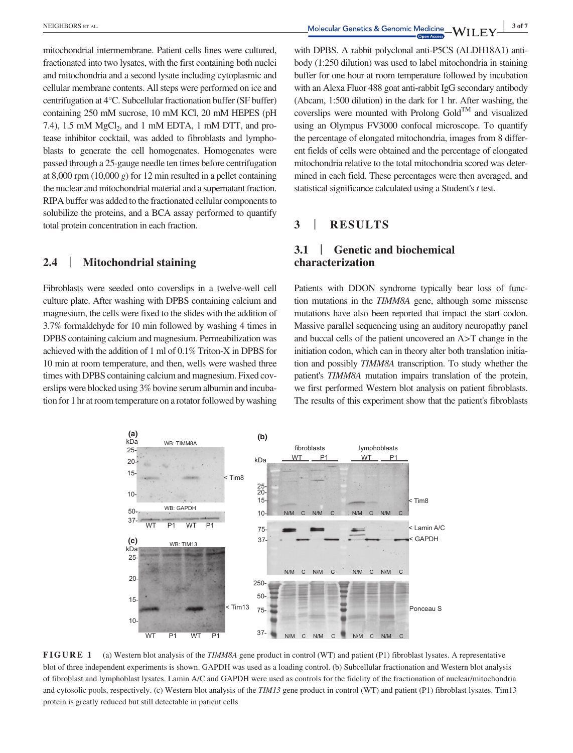mitochondrial intermembrane. Patient cells lines were cultured, fractionated into two lysates, with the first containing both nuclei and mitochondria and a second lysate including cytoplasmic and cellular membrane contents. All steps were performed on ice and centrifugation at 4°C. Subcellular fractionation buffer (SF buffer) containing 250 mM sucrose, 10 mM KCl, 20 mM HEPES (pH 7.4), 1.5 mM  $MgCl<sub>2</sub>$ , and 1 mM EDTA, 1 mM DTT, and protease inhibitor cocktail, was added to fibroblasts and lymphoblasts to generate the cell homogenates. Homogenates were passed through a 25-gauge needle ten times before centrifugation at 8,000 rpm (10,000 *g*) for 12 min resulted in a pellet containing the nuclear and mitochondrial material and a supernatant fraction. RIPA buffer was added to the fractionated cellular components to solubilize the proteins, and a BCA assay performed to quantify total protein concentration in each fraction.

### **2.4** | **Mitochondrial staining**

Fibroblasts were seeded onto coverslips in a twelve-well cell culture plate. After washing with DPBS containing calcium and magnesium, the cells were fixed to the slides with the addition of 3.7% formaldehyde for 10 min followed by washing 4 times in DPBS containing calcium and magnesium. Permeabilization was achieved with the addition of 1 ml of 0.1% Triton-X in DPBS for 10 min at room temperature, and then, wells were washed three times with DPBS containing calcium and magnesium. Fixed coverslips were blocked using 3% bovine serum albumin and incubation for 1 hr at room temperature on a rotator followed by washing with DPBS. A rabbit polyclonal anti-P5CS (ALDH18A1) antibody (1:250 dilution) was used to label mitochondria in staining buffer for one hour at room temperature followed by incubation with an Alexa Fluor 488 goat anti-rabbit IgG secondary antibody

(Abcam, 1:500 dilution) in the dark for 1 hr. After washing, the coverslips were mounted with Prolong  $Gold^{TM}$  and visualized using an Olympus FV3000 confocal microscope. To quantify the percentage of elongated mitochondria, images from 8 different fields of cells were obtained and the percentage of elongated mitochondria relative to the total mitochondria scored was determined in each field. These percentages were then averaged, and statistical significance calculated using a Student's *t* test.

# **3** | **RESULTS**

# **3.1** | **Genetic and biochemical characterization**

Patients with DDON syndrome typically bear loss of function mutations in the *TIMM8A* gene, although some missense mutations have also been reported that impact the start codon. Massive parallel sequencing using an auditory neuropathy panel and buccal cells of the patient uncovered an A>T change in the initiation codon, which can in theory alter both translation initiation and possibly *TIMM8A* transcription. To study whether the patient's *TIMM8A* mutation impairs translation of the protein, we first performed Western blot analysis on patient fibroblasts. The results of this experiment show that the patient's fibroblasts



**FIGURE 1** (a) Western blot analysis of the *TIMM8A* gene product in control (WT) and patient (P1) fibroblast lysates. A representative blot of three independent experiments is shown. GAPDH was used as a loading control. (b) Subcellular fractionation and Western blot analysis of fibroblast and lymphoblast lysates. Lamin A/C and GAPDH were used as controls for the fidelity of the fractionation of nuclear/mitochondria and cytosolic pools, respectively. (c) Western blot analysis of the *TIM13* gene product in control (WT) and patient (P1) fibroblast lysates. Tim13 protein is greatly reduced but still detectable in patient cells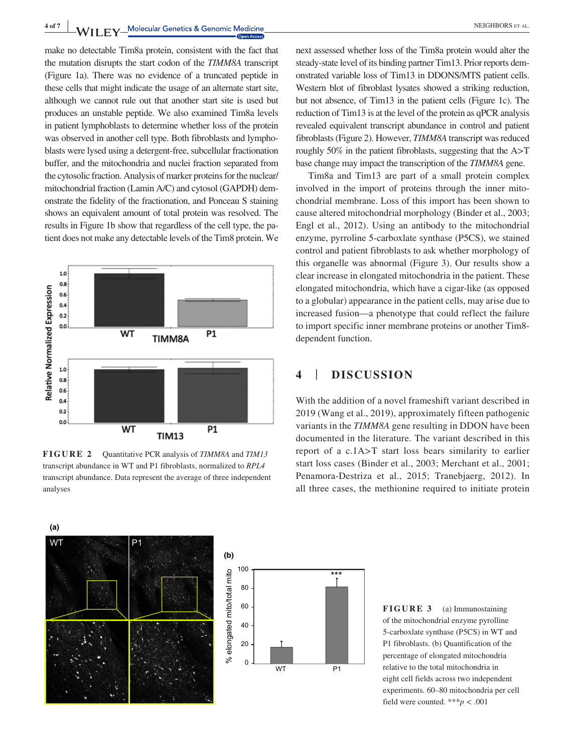**4 of 7 W II EV** Molecular Genetics & Genomic Medicine

make no detectable Tim8a protein, consistent with the fact that the mutation disrupts the start codon of the *TIMM8A* transcript (Figure 1a). There was no evidence of a truncated peptide in these cells that might indicate the usage of an alternate start site, although we cannot rule out that another start site is used but produces an unstable peptide. We also examined Tim8a levels in patient lymphoblasts to determine whether loss of the protein was observed in another cell type. Both fibroblasts and lymphoblasts were lysed using a detergent-free, subcellular fractionation buffer, and the mitochondria and nuclei fraction separated from the cytosolic fraction. Analysis of marker proteins for the nuclear/ mitochondrial fraction (Lamin A/C) and cytosol (GAPDH) demonstrate the fidelity of the fractionation, and Ponceau S staining shows an equivalent amount of total protein was resolved. The results in Figure 1b show that regardless of the cell type, the patient does not make any detectable levels of the Tim8 protein. We



**FIGURE 2** Quantitative PCR analysis of *TIMM8A* and *TIM13* transcript abundance in WT and P1 fibroblasts, normalized to *RPL4* transcript abundance. Data represent the average of three independent analyses

next assessed whether loss of the Tim8a protein would alter the steady-state level of its binding partner Tim13. Prior reports demonstrated variable loss of Tim13 in DDONS/MTS patient cells. Western blot of fibroblast lysates showed a striking reduction, but not absence, of Tim13 in the patient cells (Figure 1c). The reduction of Tim13 is at the level of the protein as qPCR analysis revealed equivalent transcript abundance in control and patient fibroblasts (Figure 2). However, *TIMM8A* transcript was reduced roughly 50% in the patient fibroblasts, suggesting that the A>T base change may impact the transcription of the *TIMM8A* gene.

Tim8a and Tim13 are part of a small protein complex involved in the import of proteins through the inner mitochondrial membrane. Loss of this import has been shown to cause altered mitochondrial morphology (Binder et al., 2003; Engl et al., 2012). Using an antibody to the mitochondrial enzyme, pyrroline 5-carboxlate synthase (P5CS), we stained control and patient fibroblasts to ask whether morphology of this organelle was abnormal (Figure 3). Our results show a clear increase in elongated mitochondria in the patient. These elongated mitochondria, which have a cigar-like (as opposed to a globular) appearance in the patient cells, may arise due to increased fusion—a phenotype that could reflect the failure to import specific inner membrane proteins or another Tim8 dependent function.

## **4** | **DISCUSSION**

With the addition of a novel frameshift variant described in 2019 (Wang et al., 2019), approximately fifteen pathogenic variants in the *TIMM8A* gene resulting in DDON have been documented in the literature. The variant described in this report of a c.1A>T start loss bears similarity to earlier start loss cases (Binder et al., 2003; Merchant et al., 2001; Penamora-Destriza et al., 2015; Tranebjaerg, 2012). In all three cases, the methionine required to initiate protein





**FIGURE 3** (a) Immunostaining of the mitochondrial enzyme pyrolline 5-carboxlate synthase (P5CS) in WT and P1 fibroblasts. (b) Quantification of the percentage of elongated mitochondria relative to the total mitochondria in eight cell fields across two independent experiments. 60–80 mitochondria per cell field were counted. \*\*\**p* < .001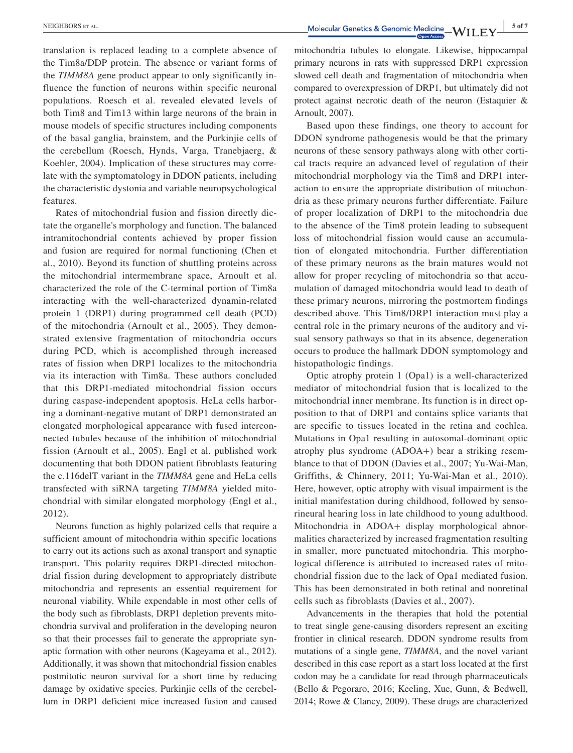translation is replaced leading to a complete absence of the Tim8a/DDP protein. The absence or variant forms of the *TIMM8A* gene product appear to only significantly influence the function of neurons within specific neuronal populations. Roesch et al. revealed elevated levels of both Tim8 and Tim13 within large neurons of the brain in mouse models of specific structures including components of the basal ganglia, brainstem, and the Purkinjie cells of the cerebellum (Roesch, Hynds, Varga, Tranebjaerg, & Koehler, 2004). Implication of these structures may correlate with the symptomatology in DDON patients, including the characteristic dystonia and variable neuropsychological features.

Rates of mitochondrial fusion and fission directly dictate the organelle's morphology and function. The balanced intramitochondrial contents achieved by proper fission and fusion are required for normal functioning (Chen et al., 2010). Beyond its function of shuttling proteins across the mitochondrial intermembrane space, Arnoult et al. characterized the role of the C-terminal portion of Tim8a interacting with the well-characterized dynamin-related protein 1 (DRP1) during programmed cell death (PCD) of the mitochondria (Arnoult et al., 2005). They demonstrated extensive fragmentation of mitochondria occurs during PCD, which is accomplished through increased rates of fission when DRP1 localizes to the mitochondria via its interaction with Tim8a. These authors concluded that this DRP1-mediated mitochondrial fission occurs during caspase-independent apoptosis. HeLa cells harboring a dominant-negative mutant of DRP1 demonstrated an elongated morphological appearance with fused interconnected tubules because of the inhibition of mitochondrial fission (Arnoult et al., 2005). Engl et al. published work documenting that both DDON patient fibroblasts featuring the c.116delT variant in the *TIMM8A* gene and HeLa cells transfected with siRNA targeting *TIMM8A* yielded mitochondrial with similar elongated morphology (Engl et al., 2012).

Neurons function as highly polarized cells that require a sufficient amount of mitochondria within specific locations to carry out its actions such as axonal transport and synaptic transport. This polarity requires DRP1-directed mitochondrial fission during development to appropriately distribute mitochondria and represents an essential requirement for neuronal viability. While expendable in most other cells of the body such as fibroblasts, DRP1 depletion prevents mitochondria survival and proliferation in the developing neuron so that their processes fail to generate the appropriate synaptic formation with other neurons (Kageyama et al., 2012). Additionally, it was shown that mitochondrial fission enables postmitotic neuron survival for a short time by reducing damage by oxidative species. Purkinjie cells of the cerebellum in DRP1 deficient mice increased fusion and caused

**NEIGHBORS ET AL.** 5 of 7

mitochondria tubules to elongate. Likewise, hippocampal primary neurons in rats with suppressed DRP1 expression slowed cell death and fragmentation of mitochondria when compared to overexpression of DRP1, but ultimately did not protect against necrotic death of the neuron (Estaquier & Arnoult, 2007).

Based upon these findings, one theory to account for DDON syndrome pathogenesis would be that the primary neurons of these sensory pathways along with other cortical tracts require an advanced level of regulation of their mitochondrial morphology via the Tim8 and DRP1 interaction to ensure the appropriate distribution of mitochondria as these primary neurons further differentiate. Failure of proper localization of DRP1 to the mitochondria due to the absence of the Tim8 protein leading to subsequent loss of mitochondrial fission would cause an accumulation of elongated mitochondria. Further differentiation of these primary neurons as the brain matures would not allow for proper recycling of mitochondria so that accumulation of damaged mitochondria would lead to death of these primary neurons, mirroring the postmortem findings described above. This Tim8/DRP1 interaction must play a central role in the primary neurons of the auditory and visual sensory pathways so that in its absence, degeneration occurs to produce the hallmark DDON symptomology and histopathologic findings.

Optic atrophy protein 1 (Opa1) is a well-characterized mediator of mitochondrial fusion that is localized to the mitochondrial inner membrane. Its function is in direct opposition to that of DRP1 and contains splice variants that are specific to tissues located in the retina and cochlea. Mutations in Opa1 resulting in autosomal-dominant optic atrophy plus syndrome (ADOA+) bear a striking resemblance to that of DDON (Davies et al., 2007; Yu-Wai-Man, Griffiths, & Chinnery, 2011; Yu-Wai-Man et al., 2010). Here, however, optic atrophy with visual impairment is the initial manifestation during childhood, followed by sensorineural hearing loss in late childhood to young adulthood. Mitochondria in ADOA+ display morphological abnormalities characterized by increased fragmentation resulting in smaller, more punctuated mitochondria. This morphological difference is attributed to increased rates of mitochondrial fission due to the lack of Opa1 mediated fusion. This has been demonstrated in both retinal and nonretinal cells such as fibroblasts (Davies et al., 2007).

Advancements in the therapies that hold the potential to treat single gene-causing disorders represent an exciting frontier in clinical research. DDON syndrome results from mutations of a single gene, *TIMM8A*, and the novel variant described in this case report as a start loss located at the first codon may be a candidate for read through pharmaceuticals (Bello & Pegoraro, 2016; Keeling, Xue, Gunn, & Bedwell, 2014; Rowe & Clancy, 2009). These drugs are characterized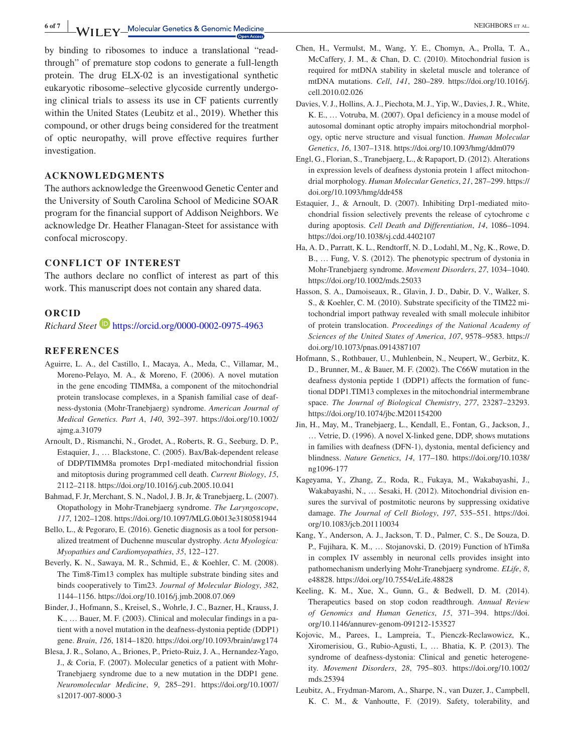**6 of 7 WILEY** Molecular Genetics & Genomic Medicine **And All Accords** AL.

by binding to ribosomes to induce a translational "readthrough" of premature stop codons to generate a full-length protein. The drug ELX-02 is an investigational synthetic eukaryotic ribosome–selective glycoside currently undergoing clinical trials to assess its use in CF patients currently within the United States (Leubitz et al., 2019). Whether this compound, or other drugs being considered for the treatment of optic neuropathy, will prove effective requires further investigation.

### **ACKNOWLEDGMENTS**

The authors acknowledge the Greenwood Genetic Center and the University of South Carolina School of Medicine SOAR program for the financial support of Addison Neighbors. We acknowledge Dr. Heather Flanagan-Steet for assistance with confocal microscopy.

### **CONFLICT OF INTEREST**

The authors declare no conflict of interest as part of this work. This manuscript does not contain any shared data.

#### **ORCID**

*Richard Steet* <https://orcid.org/0000-0002-0975-4963>

#### **REFERENCES**

- Aguirre, L. A., del Castillo, I., Macaya, A., Meda, C., Villamar, M., Moreno-Pelayo, M. A., & Moreno, F. (2006). A novel mutation in the gene encoding TIMM8a, a component of the mitochondrial protein translocase complexes, in a Spanish familial case of deafness-dystonia (Mohr-Tranebjaerg) syndrome. *American Journal of Medical Genetics. Part A*, *140*, 392–397. [https://doi.org/10.1002/](https://doi.org/10.1002/ajmg.a.31079) [ajmg.a.31079](https://doi.org/10.1002/ajmg.a.31079)
- Arnoult, D., Rismanchi, N., Grodet, A., Roberts, R. G., Seeburg, D. P., Estaquier, J., … Blackstone, C. (2005). Bax/Bak-dependent release of DDP/TIMM8a promotes Drp1-mediated mitochondrial fission and mitoptosis during programmed cell death. *Current Biology*, *15*, 2112–2118. <https://doi.org/10.1016/j.cub.2005.10.041>
- Bahmad, F. Jr, Merchant, S. N., Nadol, J. B. Jr, & Tranebjaerg, L. (2007). Otopathology in Mohr-Tranebjaerg syndrome. *The Laryngoscope*, *117*, 1202–1208. <https://doi.org/10.1097/MLG.0b013e3180581944>
- Bello, L., & Pegoraro, E. (2016). Genetic diagnosis as a tool for personalized treatment of Duchenne muscular dystrophy. *Acta Myologica: Myopathies and Cardiomyopathies*, *35*, 122–127.
- Beverly, K. N., Sawaya, M. R., Schmid, E., & Koehler, C. M. (2008). The Tim8-Tim13 complex has multiple substrate binding sites and binds cooperatively to Tim23. *Journal of Molecular Biology*, *382*, 1144–1156. <https://doi.org/10.1016/j.jmb.2008.07.069>
- Binder, J., Hofmann, S., Kreisel, S., Wohrle, J. C., Bazner, H., Krauss, J. K., … Bauer, M. F. (2003). Clinical and molecular findings in a patient with a novel mutation in the deafness-dystonia peptide (DDP1) gene. *Brain*, *126*, 1814–1820. <https://doi.org/10.1093/brain/awg174>
- Blesa, J. R., Solano, A., Briones, P., Prieto-Ruiz, J. A., Hernandez-Yago, J., & Coria, F. (2007). Molecular genetics of a patient with Mohr-Tranebjaerg syndrome due to a new mutation in the DDP1 gene. *Neuromolecular Medicine*, *9*, 285–291. [https://doi.org/10.1007/](https://doi.org/10.1007/s12017-007-8000-3) [s12017-007-8000-3](https://doi.org/10.1007/s12017-007-8000-3)
- Chen, H., Vermulst, M., Wang, Y. E., Chomyn, A., Prolla, T. A., McCaffery, J. M., & Chan, D. C. (2010). Mitochondrial fusion is required for mtDNA stability in skeletal muscle and tolerance of mtDNA mutations. *Cell*, *141*, 280–289. [https://doi.org/10.1016/j.](https://doi.org/10.1016/j.cell.2010.02.026) [cell.2010.02.026](https://doi.org/10.1016/j.cell.2010.02.026)
- Davies, V. J., Hollins, A. J., Piechota, M. J., Yip, W., Davies, J. R., White, K. E., … Votruba, M. (2007). Opa1 deficiency in a mouse model of autosomal dominant optic atrophy impairs mitochondrial morphology, optic nerve structure and visual function. *Human Molecular Genetics*, *16*, 1307–1318. <https://doi.org/10.1093/hmg/ddm079>
- Engl, G., Florian, S., Tranebjaerg, L., & Rapaport, D. (2012). Alterations in expression levels of deafness dystonia protein 1 affect mitochondrial morphology. *Human Molecular Genetics*, *21*, 287–299. [https://](https://doi.org/10.1093/hmg/ddr458) [doi.org/10.1093/hmg/ddr458](https://doi.org/10.1093/hmg/ddr458)
- Estaquier, J., & Arnoult, D. (2007). Inhibiting Drp1-mediated mitochondrial fission selectively prevents the release of cytochrome c during apoptosis. *Cell Death and Differentiation*, *14*, 1086–1094. <https://doi.org/10.1038/sj.cdd.4402107>
- Ha, A. D., Parratt, K. L., Rendtorff, N. D., Lodahl, M., Ng, K., Rowe, D. B., … Fung, V. S. (2012). The phenotypic spectrum of dystonia in Mohr-Tranebjaerg syndrome. *Movement Disorders*, *27*, 1034–1040. <https://doi.org/10.1002/mds.25033>
- Hasson, S. A., Damoiseaux, R., Glavin, J. D., Dabir, D. V., Walker, S. S., & Koehler, C. M. (2010). Substrate specificity of the TIM22 mitochondrial import pathway revealed with small molecule inhibitor of protein translocation. *Proceedings of the National Academy of Sciences of the United States of America*, *107*, 9578–9583. [https://](https://doi.org/10.1073/pnas.0914387107) [doi.org/10.1073/pnas.0914387107](https://doi.org/10.1073/pnas.0914387107)
- Hofmann, S., Rothbauer, U., Muhlenbein, N., Neupert, W., Gerbitz, K. D., Brunner, M., & Bauer, M. F. (2002). The C66W mutation in the deafness dystonia peptide 1 (DDP1) affects the formation of functional DDP1.TIM13 complexes in the mitochondrial intermembrane space. *The Journal of Biological Chemistry*, *277*, 23287–23293. <https://doi.org/10.1074/jbc.M201154200>
- Jin, H., May, M., Tranebjaerg, L., Kendall, E., Fontan, G., Jackson, J., … Vetrie, D. (1996). A novel X-linked gene, DDP, shows mutations in families with deafness (DFN-1), dystonia, mental deficiency and blindness. *Nature Genetics*, *14*, 177–180. [https://doi.org/10.1038/](https://doi.org/10.1038/ng1096-177) [ng1096-177](https://doi.org/10.1038/ng1096-177)
- Kageyama, Y., Zhang, Z., Roda, R., Fukaya, M., Wakabayashi, J., Wakabayashi, N., … Sesaki, H. (2012). Mitochondrial division ensures the survival of postmitotic neurons by suppressing oxidative damage. *The Journal of Cell Biology*, *197*, 535–551. [https://doi.](https://doi.org/10.1083/jcb.201110034) [org/10.1083/jcb.201110034](https://doi.org/10.1083/jcb.201110034)
- Kang, Y., Anderson, A. J., Jackson, T. D., Palmer, C. S., De Souza, D. P., Fujihara, K. M., … Stojanovski, D. (2019) Function of hTim8a in complex IV assembly in neuronal cells provides insight into pathomechanism underlying Mohr-Tranebjaerg syndrome. *ELife*, *8*, e48828. <https://doi.org/10.7554/eLife.48828>
- Keeling, K. M., Xue, X., Gunn, G., & Bedwell, D. M. (2014). Therapeutics based on stop codon readthrough. *Annual Review of Genomics and Human Genetics*, *15*, 371–394. [https://doi.](https://doi.org/10.1146/annurev-genom-091212-153527) [org/10.1146/annurev-genom-091212-153527](https://doi.org/10.1146/annurev-genom-091212-153527)
- Kojovic, M., Parees, I., Lampreia, T., Pienczk-Reclawowicz, K., Xiromerisiou, G., Rubio-Agusti, I., … Bhatia, K. P. (2013). The syndrome of deafness-dystonia: Clinical and genetic heterogeneity. *Movement Disorders*, *28*, 795–803. [https://doi.org/10.1002/](https://doi.org/10.1002/mds.25394) [mds.25394](https://doi.org/10.1002/mds.25394)
- Leubitz, A., Frydman-Marom, A., Sharpe, N., van Duzer, J., Campbell, K. C. M., & Vanhoutte, F. (2019). Safety, tolerability, and